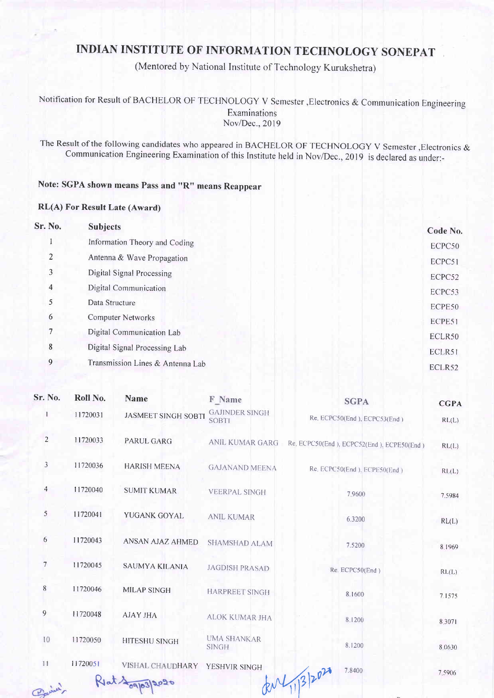## INDIAN INSTITUTE OF INFORMATION TECHNOLOGY SONEPAT

(Mentored by National Institute of Technology Kurukshetra)

Notification for Result of BACHELOR OF TECHNOLOGY V Semester , Electronics & Communication Engineering Examinations Nov/Dec., 2019

The Result of the following candidates who appeared in BACHELOR OF TECHNOLOGY V Semester, Electronics & Communication Engineering Examination of this Institute held in Nov/Dec.,2019 is declared as under:-

## Note: SGPA shown means Pass and "R" means Reappear

## RL(A) For Result Late (Award)

| <b>Sr. No.</b> | <b>Subjects</b>                  | Code No. |
|----------------|----------------------------------|----------|
|                | Information Theory and Coding    | ECPC50   |
| $\overline{2}$ | Antenna & Wave Propagation       | ECPC51   |
| 3              | Digital Signal Processing        | ECPC52   |
| 4              | Digital Communication            | ECPC53   |
| 5              | Data Structure                   | ECPE50   |
| 6              | <b>Computer Networks</b>         | ECPE51   |
| 7              | Digital Communication Lab        | ECLR50   |
| 8              | Digital Signal Processing Lab    | ECLR51   |
| 9              | Transmission Lines & Antenna Lab | ECLR52   |
|                |                                  |          |

| Sr. No.          | Roll No. | <b>Name</b>                | F Name                                | <b>SGPA</b>                                                  | <b>CGPA</b> |
|------------------|----------|----------------------------|---------------------------------------|--------------------------------------------------------------|-------------|
|                  | 11720031 | <b>JASMEET SINGH SOBTI</b> | <b>GAJINDER SINGH</b><br><b>SOBTI</b> | Re. ECPC50(End), ECPC53(End)                                 | RL(L)       |
| $\overline{c}$   | 11720033 | PARUL GARG                 |                                       | ANIL KUMAR GARG Re. ECPC50(End ), ECPC52(End ), ECPE50(End ) | RL(L)       |
| 3                | 11720036 | <b>HARISH MEENA</b>        | <b>GAJANAND MEENA</b>                 | Re. ECPC50(End), ECPE50(End)                                 | RL(L)       |
| 4                | 11720040 | <b>SUMIT KUMAR</b>         | <b>VEERPAL SINGH</b>                  | 7.9600                                                       | 7.5984      |
| 5                | 11720041 | YUGANK GOYAL               | <b>ANIL KUMAR</b>                     | 6.3200                                                       | RL(L)       |
| 6                | 11720043 | ANSAN AJAZ AHMED           | SHAMSHAD ALAM                         | 7.5200                                                       | 8.1969      |
| $\boldsymbol{7}$ | 11720045 | <b>SAUMYA KILANIA</b>      | <b>JAGDISH PRASAD</b>                 | Re. ECPC50(End)                                              | RL(L)       |
| 8                | 11720046 | <b>MILAP SINGH</b>         | <b>HARPREET SINGH</b>                 | 8.1600                                                       | 7.1575      |
| 9                | 11720048 | <b>AJAY JHA</b>            | ALOK KUMAR JHA                        | 8.1200                                                       | 8.3071      |
| 10               | 11720050 | <b>HITESHU SINGH</b>       | <b>UMA SHANKAR</b><br><b>SINGH</b>    | 8.1200                                                       | 8.0630      |
| 11               | 11720051 | VISHAL CHAUDHARY           | YESHVIR SINGH                         | 7.8400<br>RM113/2020                                         | 7.5906      |
| Pariner          |          | Rlat 109/03/2020           |                                       |                                                              |             |